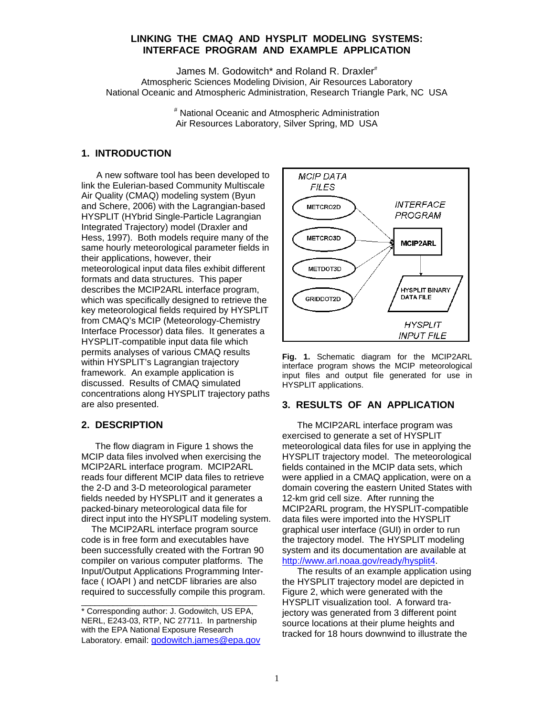### **LINKING THE CMAQ AND HYSPLIT MODELING SYSTEMS: INTERFACE PROGRAM AND EXAMPLE APPLICATION**

James M. Godowitch\* and Roland R. Draxler<sup>#</sup> Atmospheric Sciences Modeling Division, Air Resources Laboratory National Oceanic and Atmospheric Administration, Research Triangle Park, NC USA

> # National Oceanic and Atmospheric Administration Air Resources Laboratory, Silver Spring, MD USA

## **1. INTRODUCTION**

A new software tool has been developed to link the Eulerian-based Community Multiscale Air Quality (CMAQ) modeling system (Byun and Schere, 2006) with the Lagrangian-based HYSPLIT (HYbrid Single-Particle Lagrangian Integrated Trajectory) model (Draxler and Hess, 1997). Both models require many of the same hourly meteorological parameter fields in their applications, however, their meteorological input data files exhibit different formats and data structures. This paper describes the MCIP2ARL interface program, which was specifically designed to retrieve the key meteorological fields required by HYSPLIT from CMAQ's MCIP (Meteorology-Chemistry Interface Processor) data files. It generates a HYSPLIT-compatible input data file which permits analyses of various CMAQ results within HYSPLIT's Lagrangian trajectory framework. An example application is discussed. Results of CMAQ simulated concentrations along HYSPLIT trajectory paths are also presented.

### **2. DESCRIPTION**

 The flow diagram in Figure 1 shows the MCIP data files involved when exercising the MCIP2ARL interface program.MCIP2ARL reads four different MCIP data files to retrieve the 2-D and 3-D meteorological parameter fields needed by HYSPLIT and it generates a packed-binary meteorological data file for direct input into the HYSPLIT modeling system.

 The MCIP2ARL interface program source code is in free form and executables have been successfully created with the Fortran 90 compiler on various computer platforms. The Input/Output Applications Programming Interface ( IOAPI ) and netCDF libraries are also required to successfully compile this program.

\_\_\_\_\_\_\_\_\_\_\_\_\_\_\_\_\_\_\_\_\_\_\_\_\_\_\_\_\_\_\_\_\_\_\_\_\_\_\_



**Fig. 1.** Schematic diagram for the MCIP2ARL interface program shows the MCIP meteorological input files and output file generated for use in HYSPLIT applications.

# **3. RESULTS OF AN APPLICATION**

 The MCIP2ARL interface program was exercised to generate a set of HYSPLIT meteorological data files for use in applying the HYSPLIT trajectory model. The meteorological fields contained in the MCIP data sets, which were applied in a CMAQ application, were on a domain covering the eastern United States with 12-km grid cell size. After running the MCIP2ARL program, the HYSPLIT-compatible data files were imported into the HYSPLIT graphical user interface (GUI) in order to run the trajectory model. The HYSPLIT modeling system and its documentation are available at http://www.arl.noaa.gov/ready/hysplit4.

 The results of an example application using the HYSPLIT trajectory model are depicted in Figure 2, which were generated with the HYSPLIT visualization tool. A forward trajectory was generated from 3 different point source locations at their plume heights and tracked for 18 hours downwind to illustrate the

<sup>\*</sup> Corresponding author: J. Godowitch, US EPA, NERL, E243-03, RTP, NC 27711. In partnership with the EPA National Exposure Research Laboratory. email: godowitch.james@epa.gov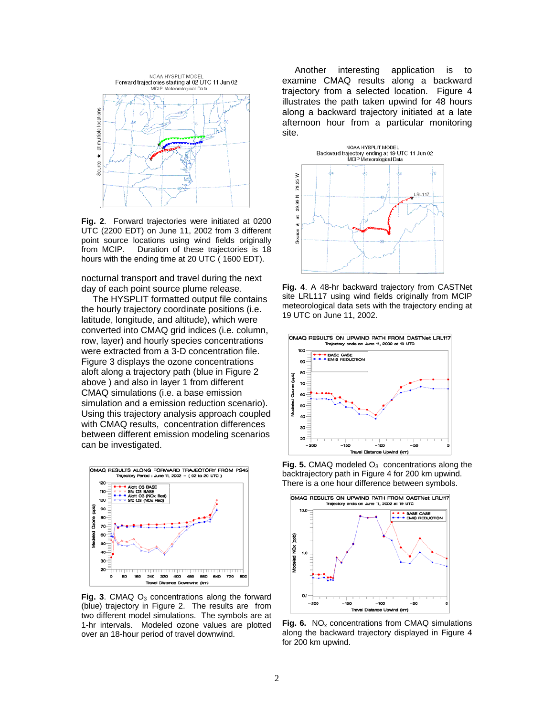

**Fig. 2**. Forward trajectories were initiated at 0200 UTC (2200 EDT) on June 11, 2002 from 3 different point source locations using wind fields originally from MCIP. Duration of these trajectories is 18 hours with the ending time at 20 UTC ( 1600 EDT).

nocturnal transport and travel during the next day of each point source plume release.

 The HYSPLIT formatted output file contains the hourly trajectory coordinate positions (i.e. latitude, longitude, and altitude), which were converted into CMAQ grid indices (i.e. column, row, layer) and hourly species concentrations were extracted from a 3-D concentration file. Figure 3 displays the ozone concentrations aloft along a trajectory path (blue in Figure 2 above ) and also in layer 1 from different CMAQ simulations (i.e. a base emission simulation and a emission reduction scenario). Using this trajectory analysis approach coupled with CMAQ results, concentration differences between different emission modeling scenarios can be investigated.



**Fig. 3**. CMAQ  $O_3$  concentrations along the forward (blue) trajectory in Figure 2. The results are from two different model simulations. The symbols are at 1-hr intervals. Modeled ozone values are plotted over an 18-hour period of travel downwind.

 Another interesting application is to examine CMAQ results along a backward trajectory from a selected location. Figure 4 illustrates the path taken upwind for 48 hours along a backward trajectory initiated at a late afternoon hour from a particular monitoring site.



**Fig. 4**. A 48-hr backward trajectory from CASTNet site LRL117 using wind fields originally from MCIP meteorological data sets with the trajectory ending at 19 UTC on June 11, 2002.



**Fig. 5.** CMAQ modeled  $O_3$  concentrations along the backtrajectory path in Figure 4 for 200 km upwind. There is a one hour difference between symbols.



**Fig. 6.** NO<sub>x</sub> concentrations from CMAQ simulations along the backward trajectory displayed in Figure 4 for 200 km upwind.